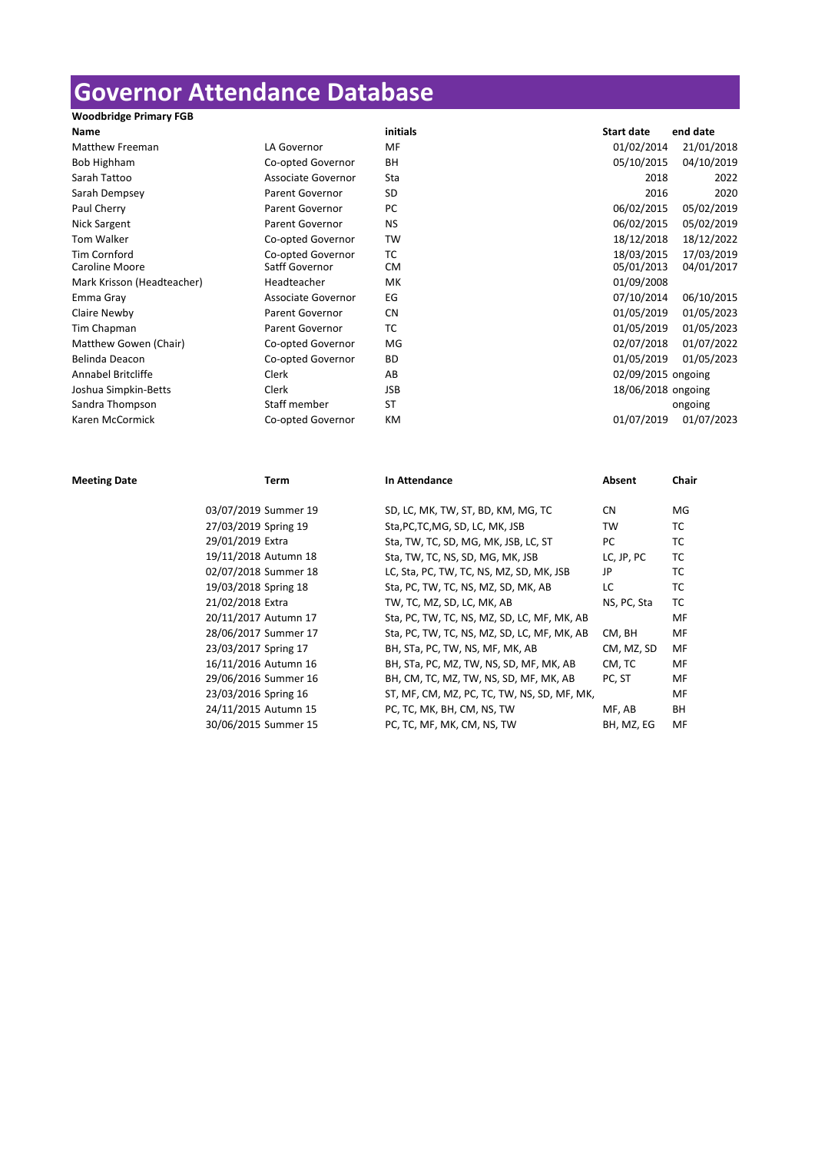## **Governor Attendance Database**

| <b>Woodbridge Primary FGB</b> |                        |           |                    |            |
|-------------------------------|------------------------|-----------|--------------------|------------|
| <b>Name</b>                   |                        | initials  | <b>Start date</b>  | end date   |
| <b>Matthew Freeman</b>        | LA Governor            | MF        | 01/02/2014         | 21/01/2018 |
| Bob Highham                   | Co-opted Governor      | BH        | 05/10/2015         | 04/10/2019 |
| Sarah Tattoo                  | Associate Governor     | Sta       | 2018               | 2022       |
| Sarah Dempsey                 | <b>Parent Governor</b> | SD        | 2016               | 2020       |
| Paul Cherry                   | <b>Parent Governor</b> | PC        | 06/02/2015         | 05/02/2019 |
| Nick Sargent                  | <b>Parent Governor</b> | <b>NS</b> | 06/02/2015         | 05/02/2019 |
| Tom Walker                    | Co-opted Governor      | TW        | 18/12/2018         | 18/12/2022 |
| <b>Tim Cornford</b>           | Co-opted Governor      | тc        | 18/03/2015         | 17/03/2019 |
| Caroline Moore                | Satff Governor         | <b>CM</b> | 05/01/2013         | 04/01/2017 |
| Mark Krisson (Headteacher)    | Headteacher            | МK        | 01/09/2008         |            |
| Emma Gray                     | Associate Governor     | EG        | 07/10/2014         | 06/10/2015 |
| Claire Newby                  | Parent Governor        | <b>CN</b> | 01/05/2019         | 01/05/2023 |
| Tim Chapman                   | <b>Parent Governor</b> | тс        | 01/05/2019         | 01/05/2023 |
| Matthew Gowen (Chair)         | Co-opted Governor      | MG        | 02/07/2018         | 01/07/2022 |
| Belinda Deacon                | Co-opted Governor      | <b>BD</b> | 01/05/2019         | 01/05/2023 |
| Annabel Britcliffe            | Clerk                  | AB        | 02/09/2015 ongoing |            |
| Joshua Simpkin-Betts          | Clerk                  | JSB       | 18/06/2018 ongoing |            |
| Sandra Thompson               | Staff member           | <b>ST</b> |                    | ongoing    |
| Karen McCormick               | Co-opted Governor      | KM        | 01/07/2019         | 01/07/2023 |

**Meeting Date Chair Term In Attendance Chair Chair Chair** 03/07/2019 Summer 19 SD, LC, MK, TW, ST, BD, KM, MG, TC CN MG 27/03/2019 Spring 19 Sta,PC,TC,MG, SD, LC, MK, JSB TW TC 29/01/2019 Extra Sta, TW, TC, SD, MG, MK, JSB, LC, ST PC TC 19/11/2018 Autumn 18 Sta, TW, TC, NS, SD, MG, MK, JSB LC, JP, PC TC 02/07/2018 Summer 18 LC, Sta, PC, TW, TC, NS, MZ, SD, MK, JSB JP TC 19/03/2018 Spring 18 Sta, PC, TW, TC, NS, MZ, SD, MK, AB LC TC 21/02/2018 Extra TW, TC, MZ, SD, LC, MK, AB NS, PC, Sta TC 20/11/2017 Autumn 17 Sta, PC, TW, TC, NS, MZ, SD, LC, MF, MK, AB MF 28/06/2017 Summer 17 Sta, PC, TW, TC, NS, MZ, SD, LC, MF, MK, AB CM, BH MF 23/03/2017 Spring 17 BH, STa, PC, TW, NS, MF, MK, AB CM, MZ, SD MF 16/11/2016 Autumn 16 BH, STa, PC, MZ, TW, NS, SD, MF, MK, AB CM, TC MF 29/06/2016 Summer 16 BH, CM, TC, MZ, TW, NS, SD, MF, MK, AB PC, ST MF 23/03/2016 Spring 16 ST, MF, CM, MZ, PC, TC, TW, NS, SD, MF, MK, MF, MF 24/11/2015 Autumn 15 PC, TC, MK, BH, CM, NS, TW MF, AB BH 30/06/2015 Summer 15 PC, TC, MF, MK, CM, NS, TW BH, MZ, EG MF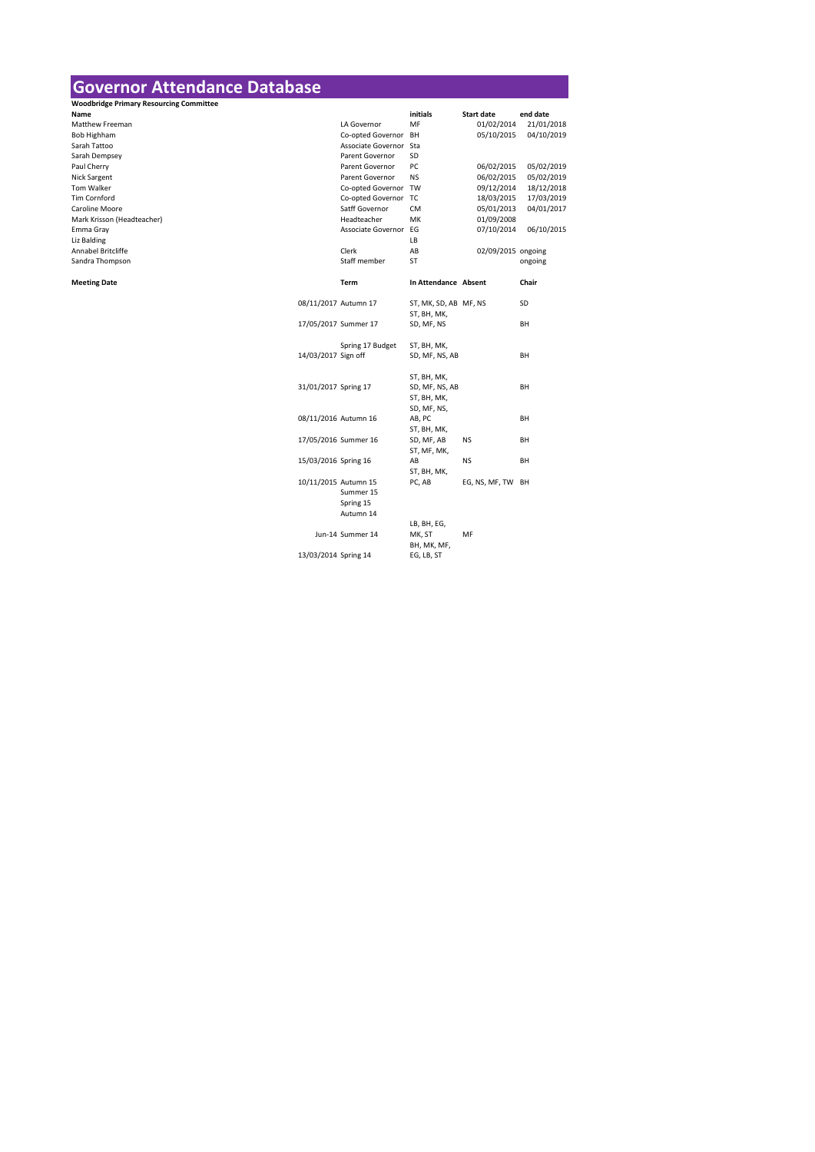## **Governor Attendance Database**

| <b>Woodbridge Primary Resourcing Committee</b> |                      |                        |                       |                    |            |
|------------------------------------------------|----------------------|------------------------|-----------------------|--------------------|------------|
| Name                                           |                      |                        | initials              | <b>Start date</b>  | end date   |
| <b>Matthew Freeman</b>                         |                      | LA Governor            | MF                    | 01/02/2014         | 21/01/2018 |
| Bob Highham                                    |                      | Co-opted Governor      | BH                    | 05/10/2015         | 04/10/2019 |
| Sarah Tattoo                                   |                      | Associate Governor Sta |                       |                    |            |
| Sarah Dempsey                                  |                      | <b>Parent Governor</b> | SD                    |                    |            |
| Paul Cherry                                    |                      | Parent Governor        | PC                    | 06/02/2015         | 05/02/2019 |
| Nick Sargent                                   |                      | <b>Parent Governor</b> | <b>NS</b>             | 06/02/2015         | 05/02/2019 |
| Tom Walker                                     |                      | Co-opted Governor TW   |                       | 09/12/2014         | 18/12/2018 |
| <b>Tim Cornford</b>                            |                      | Co-opted Governor TC   |                       | 18/03/2015         | 17/03/2019 |
| Caroline Moore                                 |                      | Satff Governor         | <b>CM</b>             | 05/01/2013         | 04/01/2017 |
| Mark Krisson (Headteacher)                     |                      | Headteacher            | MK                    | 01/09/2008         |            |
| Emma Gray                                      |                      | Associate Governor EG  |                       | 07/10/2014         | 06/10/2015 |
| Liz Balding                                    |                      |                        | LB                    |                    |            |
| Annabel Britcliffe                             |                      | Clerk                  | AB                    | 02/09/2015 ongoing |            |
| Sandra Thompson                                |                      | Staff member           | <b>ST</b>             |                    | ongoing    |
|                                                |                      |                        |                       |                    |            |
| <b>Meeting Date</b>                            |                      | <b>Term</b>            | In Attendance Absent  |                    | Chair      |
|                                                |                      |                        |                       |                    |            |
|                                                | 08/11/2017 Autumn 17 |                        | ST, MK, SD, AB MF, NS |                    | SD         |
|                                                |                      |                        | ST, BH, MK,           |                    |            |
|                                                |                      | 17/05/2017 Summer 17   | SD, MF, NS            |                    | BH         |
|                                                |                      |                        |                       |                    |            |
|                                                |                      | Spring 17 Budget       | ST, BH, MK,           |                    |            |
|                                                | 14/03/2017 Sign off  |                        | SD, MF, NS, AB        |                    | BH         |
|                                                |                      |                        |                       |                    |            |
|                                                |                      |                        | ST, BH, MK,           |                    |            |
|                                                | 31/01/2017 Spring 17 |                        | SD, MF, NS, AB        |                    | BH         |
|                                                |                      |                        | ST, BH, MK,           |                    |            |
|                                                |                      |                        | SD, MF, NS,           |                    |            |
|                                                |                      | 08/11/2016 Autumn 16   | AB, PC                |                    | BH         |
|                                                |                      |                        | ST, BH, MK,           |                    |            |
|                                                |                      | 17/05/2016 Summer 16   | SD, MF, AB            | <b>NS</b>          | BH         |
|                                                |                      |                        | ST, MF, MK,           |                    |            |
|                                                | 15/03/2016 Spring 16 |                        | AB                    | <b>NS</b>          | BH         |
|                                                |                      |                        | ST, BH, MK,           |                    |            |
|                                                |                      | 10/11/2015 Autumn 15   | PC, AB                | EG, NS, MF, TW BH  |            |
|                                                |                      | Summer 15              |                       |                    |            |
|                                                |                      | Spring 15              |                       |                    |            |
|                                                |                      | Autumn 14              |                       |                    |            |
|                                                |                      |                        | LB, BH, EG,           |                    |            |
|                                                |                      | Jun-14 Summer 14       | MK, ST                | MF                 |            |
|                                                |                      |                        | BH, MK, MF,           |                    |            |
|                                                | 13/03/2014 Spring 14 |                        | EG, LB, ST            |                    |            |
|                                                |                      |                        |                       |                    |            |